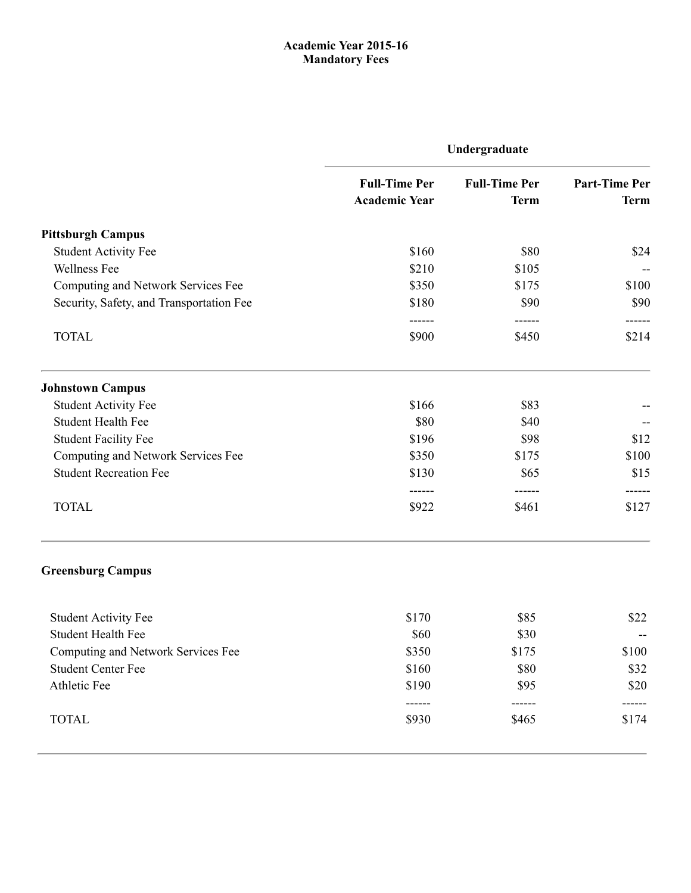## [Acade](http://www.pitt.edu/)mic Year 2015-16 Mandatory Fees

| Undergraduate                                |                                             |                                                   |  |
|----------------------------------------------|---------------------------------------------|---------------------------------------------------|--|
| <b>Full-Time Per</b><br><b>Academic Year</b> | <b>Full-Time Per</b><br><b>Term</b>         | <b>Part-Time Per</b><br><b>Term</b>               |  |
|                                              |                                             |                                                   |  |
| \$160                                        | \$80                                        | \$24                                              |  |
| \$210                                        | \$105                                       |                                                   |  |
| \$350                                        | \$175                                       | \$100                                             |  |
| \$180                                        | \$90                                        | \$90                                              |  |
| \$900                                        | \$450                                       | ------<br>\$214                                   |  |
|                                              |                                             |                                                   |  |
| \$166                                        | \$83                                        |                                                   |  |
| \$80                                         | \$40                                        |                                                   |  |
| \$196                                        | \$98                                        | \$12                                              |  |
| \$350                                        | \$175                                       | \$100                                             |  |
| \$130                                        | \$65                                        | \$15                                              |  |
| \$922                                        | \$461                                       | \$127                                             |  |
|                                              |                                             |                                                   |  |
|                                              |                                             | \$22                                              |  |
| \$60                                         |                                             |                                                   |  |
|                                              |                                             | \$100                                             |  |
|                                              |                                             | \$32                                              |  |
| \$190                                        | \$95                                        | \$20                                              |  |
| ------<br>\$930                              | ------<br>\$465                             | \$174                                             |  |
|                                              | ------<br>------<br>\$170<br>\$350<br>\$160 | ------<br>------<br>\$85<br>\$30<br>\$175<br>\$80 |  |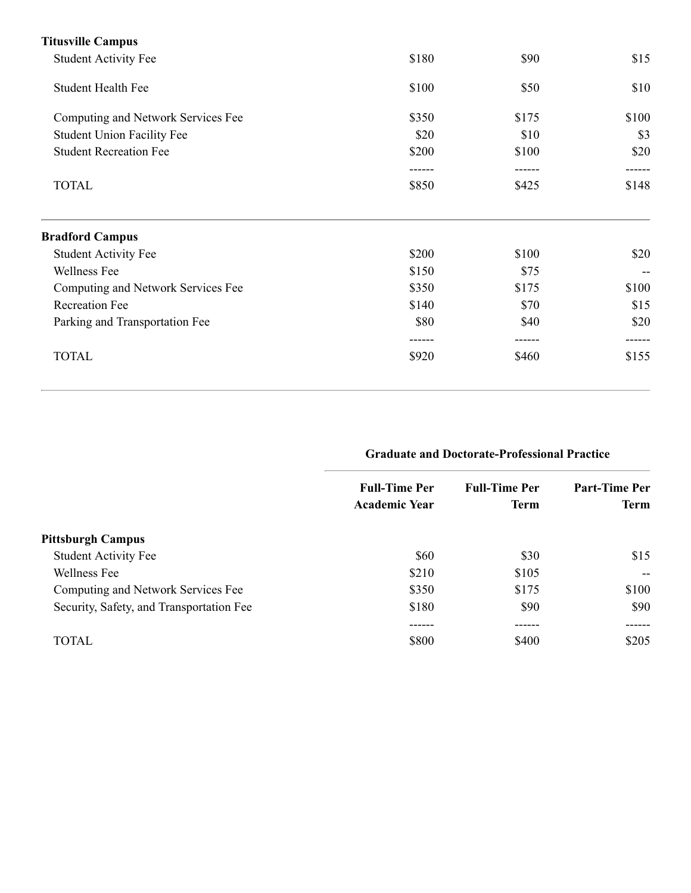| \$180 | \$90   | \$15  |
|-------|--------|-------|
| \$100 | \$50   | \$10  |
| \$350 | \$175  | \$100 |
| \$20  | \$10   | \$3   |
| \$200 | \$100  | \$20  |
|       | ------ |       |
| \$850 | \$425  | \$148 |
|       |        |       |
| \$200 | \$100  | \$20  |
| \$150 | \$75   |       |
| \$350 | \$175  | \$100 |
| \$140 | \$70   | \$15  |
| \$80  | \$40   | \$20  |
|       |        |       |
| \$920 | \$460  | \$155 |
|       |        |       |

# Graduate and Doctorate-Professional Practice

|                                          | <b>Full-Time Per</b><br><b>Academic Year</b> | <b>Full-Time Per</b><br><b>Term</b> | <b>Part-Time Per</b><br><b>Term</b> |
|------------------------------------------|----------------------------------------------|-------------------------------------|-------------------------------------|
| <b>Pittsburgh Campus</b>                 |                                              |                                     |                                     |
| <b>Student Activity Fee</b>              | \$60                                         | \$30                                | \$15                                |
| Wellness Fee                             | \$210                                        | \$105                               | $- -$                               |
| Computing and Network Services Fee       | \$350                                        | \$175                               | \$100                               |
| Security, Safety, and Transportation Fee | \$180                                        | \$90                                | \$90                                |
|                                          |                                              |                                     |                                     |
| TOTAL                                    | \$800                                        | \$400                               | \$205                               |